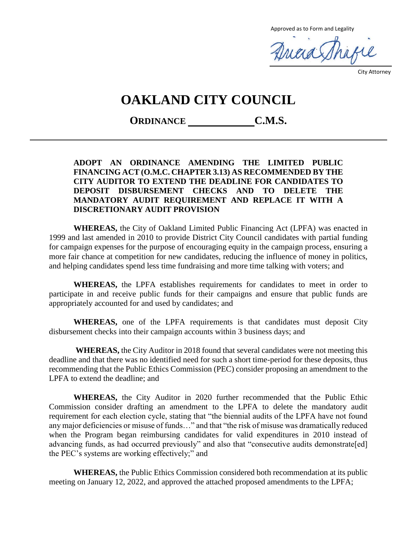Approved as to Form and Legality

Ancia Shafe

City Attorney

# **OAKLAND CITY COUNCIL**

**ORDINANCE C.M.S.**

#### **ADOPT AN ORDINANCE AMENDING THE LIMITED PUBLIC FINANCING ACT (O.M.C. CHAPTER 3.13) AS RECOMMENDED BY THE CITY AUDITOR TO EXTEND THE DEADLINE FOR CANDIDATES TO DEPOSIT DISBURSEMENT CHECKS AND TO DELETE THE MANDATORY AUDIT REQUIREMENT AND REPLACE IT WITH A DISCRETIONARY AUDIT PROVISION**

**WHEREAS,** the City of Oakland Limited Public Financing Act (LPFA) was enacted in 1999 and last amended in 2010 to provide District City Council candidates with partial funding for campaign expenses for the purpose of encouraging equity in the campaign process, ensuring a more fair chance at competition for new candidates, reducing the influence of money in politics, and helping candidates spend less time fundraising and more time talking with voters; and

**WHEREAS,** the LPFA establishes requirements for candidates to meet in order to participate in and receive public funds for their campaigns and ensure that public funds are appropriately accounted for and used by candidates; and

**WHEREAS,** one of the LPFA requirements is that candidates must deposit City disbursement checks into their campaign accounts within 3 business days; and

**WHEREAS,** the City Auditor in 2018 found that several candidates were not meeting this deadline and that there was no identified need for such a short time-period for these deposits, thus recommending that the Public Ethics Commission (PEC) consider proposing an amendment to the LPFA to extend the deadline; and

**WHEREAS,** the City Auditor in 2020 further recommended that the Public Ethic Commission consider drafting an amendment to the LPFA to delete the mandatory audit requirement for each election cycle, stating that "the biennial audits of the LPFA have not found any major deficiencies or misuse of funds…" and that "the risk of misuse was dramatically reduced when the Program began reimbursing candidates for valid expenditures in 2010 instead of advancing funds, as had occurred previously" and also that "consecutive audits demonstrate[ed] the PEC's systems are working effectively;" and

**WHEREAS,** the Public Ethics Commission considered both recommendation at its public meeting on January 12, 2022, and approved the attached proposed amendments to the LPFA;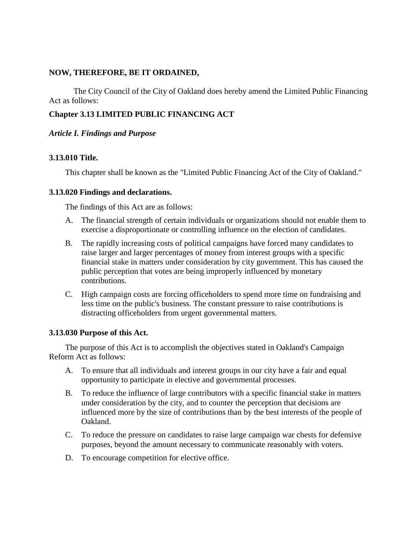#### **NOW, THEREFORE, BE IT ORDAINED,**

The City Council of the City of Oakland does hereby amend the Limited Public Financing Act as follows:

## **Chapter 3.13 LIMITED PUBLIC FINANCING ACT**

#### *Article I. Findings and Purpose*

#### **3.13.010 Title.**

This chapter shall be known as the "Limited Public Financing Act of the City of Oakland."

#### **3.13.020 Findings and declarations.**

The findings of this Act are as follows:

- A. The financial strength of certain individuals or organizations should not enable them to exercise a disproportionate or controlling influence on the election of candidates.
- B. The rapidly increasing costs of political campaigns have forced many candidates to raise larger and larger percentages of money from interest groups with a specific financial stake in matters under consideration by city government. This has caused the public perception that votes are being improperly influenced by monetary contributions.
- C. High campaign costs are forcing officeholders to spend more time on fundraising and less time on the public's business. The constant pressure to raise contributions is distracting officeholders from urgent governmental matters.

#### **3.13.030 Purpose of this Act.**

The purpose of this Act is to accomplish the objectives stated in Oakland's Campaign Reform Act as follows:

- A. To ensure that all individuals and interest groups in our city have a fair and equal opportunity to participate in elective and governmental processes.
- B. To reduce the influence of large contributors with a specific financial stake in matters under consideration by the city, and to counter the perception that decisions are influenced more by the size of contributions than by the best interests of the people of Oakland.
- C. To reduce the pressure on candidates to raise large campaign war chests for defensive purposes, beyond the amount necessary to communicate reasonably with voters.
- D. To encourage competition for elective office.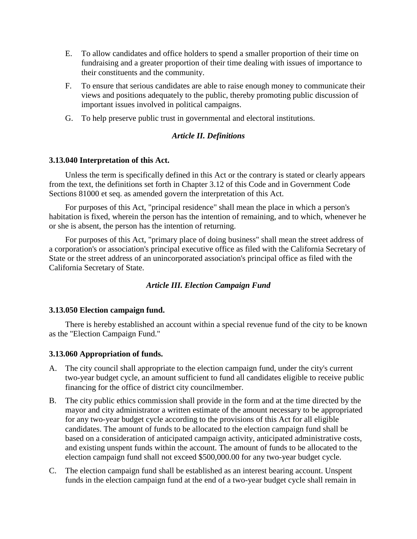- E. To allow candidates and office holders to spend a smaller proportion of their time on fundraising and a greater proportion of their time dealing with issues of importance to their constituents and the community.
- F. To ensure that serious candidates are able to raise enough money to communicate their views and positions adequately to the public, thereby promoting public discussion of important issues involved in political campaigns.
- G. To help preserve public trust in governmental and electoral institutions.

## *Article II. Definitions*

#### **3.13.040 Interpretation of this Act.**

Unless the term is specifically defined in this Act or the contrary is stated or clearly appears from the text, the definitions set forth in Chapter 3.12 of this Code and in Government Code Sections 81000 et seq. as amended govern the interpretation of this Act.

For purposes of this Act, "principal residence" shall mean the place in which a person's habitation is fixed, wherein the person has the intention of remaining, and to which, whenever he or she is absent, the person has the intention of returning.

For purposes of this Act, "primary place of doing business" shall mean the street address of a corporation's or association's principal executive office as filed with the California Secretary of State or the street address of an unincorporated association's principal office as filed with the California Secretary of State.

#### *Article III. Election Campaign Fund*

#### **3.13.050 Election campaign fund.**

There is hereby established an account within a special revenue fund of the city to be known as the "Election Campaign Fund."

#### **3.13.060 Appropriation of funds.**

- A. The city council shall appropriate to the election campaign fund, under the city's current two-year budget cycle, an amount sufficient to fund all candidates eligible to receive public financing for the office of district city councilmember.
- B. The city public ethics commission shall provide in the form and at the time directed by the mayor and city administrator a written estimate of the amount necessary to be appropriated for any two-year budget cycle according to the provisions of this Act for all eligible candidates. The amount of funds to be allocated to the election campaign fund shall be based on a consideration of anticipated campaign activity, anticipated administrative costs, and existing unspent funds within the account. The amount of funds to be allocated to the election campaign fund shall not exceed \$500,000.00 for any two-year budget cycle.
- C. The election campaign fund shall be established as an interest bearing account. Unspent funds in the election campaign fund at the end of a two-year budget cycle shall remain in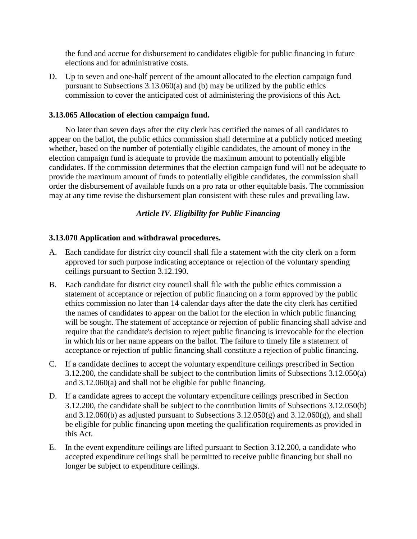the fund and accrue for disbursement to candidates eligible for public financing in future elections and for administrative costs.

D. Up to seven and one-half percent of the amount allocated to the election campaign fund pursuant to Subsections 3.13.060(a) and (b) may be utilized by the public ethics commission to cover the anticipated cost of administering the provisions of this Act.

#### **3.13.065 Allocation of election campaign fund.**

No later than seven days after the city clerk has certified the names of all candidates to appear on the ballot, the public ethics commission shall determine at a publicly noticed meeting whether, based on the number of potentially eligible candidates, the amount of money in the election campaign fund is adequate to provide the maximum amount to potentially eligible candidates. If the commission determines that the election campaign fund will not be adequate to provide the maximum amount of funds to potentially eligible candidates, the commission shall order the disbursement of available funds on a pro rata or other equitable basis. The commission may at any time revise the disbursement plan consistent with these rules and prevailing law.

## *Article IV. Eligibility for Public Financing*

#### **3.13.070 Application and withdrawal procedures.**

- A. Each candidate for district city council shall file a statement with the city clerk on a form approved for such purpose indicating acceptance or rejection of the voluntary spending ceilings pursuant to Section 3.12.190.
- B. Each candidate for district city council shall file with the public ethics commission a statement of acceptance or rejection of public financing on a form approved by the public ethics commission no later than 14 calendar days after the date the city clerk has certified the names of candidates to appear on the ballot for the election in which public financing will be sought. The statement of acceptance or rejection of public financing shall advise and require that the candidate's decision to reject public financing is irrevocable for the election in which his or her name appears on the ballot. The failure to timely file a statement of acceptance or rejection of public financing shall constitute a rejection of public financing.
- C. If a candidate declines to accept the voluntary expenditure ceilings prescribed in Section 3.12.200, the candidate shall be subject to the contribution limits of Subsections 3.12.050(a) and 3.12.060(a) and shall not be eligible for public financing.
- D. If a candidate agrees to accept the voluntary expenditure ceilings prescribed in Section 3.12.200, the candidate shall be subject to the contribution limits of Subsections 3.12.050(b) and  $3.12.060(b)$  as adjusted pursuant to Subsections  $3.12.050(g)$  and  $3.12.060(g)$ , and shall be eligible for public financing upon meeting the qualification requirements as provided in this Act.
- E. In the event expenditure ceilings are lifted pursuant to Section 3.12.200, a candidate who accepted expenditure ceilings shall be permitted to receive public financing but shall no longer be subject to expenditure ceilings.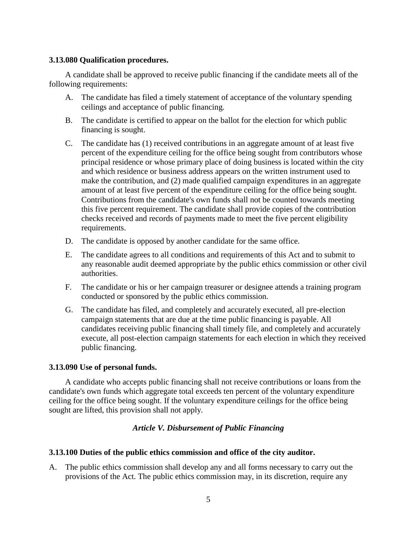#### **3.13.080 Qualification procedures.**

A candidate shall be approved to receive public financing if the candidate meets all of the following requirements:

- A. The candidate has filed a timely statement of acceptance of the voluntary spending ceilings and acceptance of public financing.
- B. The candidate is certified to appear on the ballot for the election for which public financing is sought.
- C. The candidate has (1) received contributions in an aggregate amount of at least five percent of the expenditure ceiling for the office being sought from contributors whose principal residence or whose primary place of doing business is located within the city and which residence or business address appears on the written instrument used to make the contribution, and (2) made qualified campaign expenditures in an aggregate amount of at least five percent of the expenditure ceiling for the office being sought. Contributions from the candidate's own funds shall not be counted towards meeting this five percent requirement. The candidate shall provide copies of the contribution checks received and records of payments made to meet the five percent eligibility requirements.
- D. The candidate is opposed by another candidate for the same office.
- E. The candidate agrees to all conditions and requirements of this Act and to submit to any reasonable audit deemed appropriate by the public ethics commission or other civil authorities.
- F. The candidate or his or her campaign treasurer or designee attends a training program conducted or sponsored by the public ethics commission.
- G. The candidate has filed, and completely and accurately executed, all pre-election campaign statements that are due at the time public financing is payable. All candidates receiving public financing shall timely file, and completely and accurately execute, all post-election campaign statements for each election in which they received public financing.

#### **3.13.090 Use of personal funds.**

A candidate who accepts public financing shall not receive contributions or loans from the candidate's own funds which aggregate total exceeds ten percent of the voluntary expenditure ceiling for the office being sought. If the voluntary expenditure ceilings for the office being sought are lifted, this provision shall not apply.

#### *Article V. Disbursement of Public Financing*

#### **3.13.100 Duties of the public ethics commission and office of the city auditor.**

A. The public ethics commission shall develop any and all forms necessary to carry out the provisions of the Act. The public ethics commission may, in its discretion, require any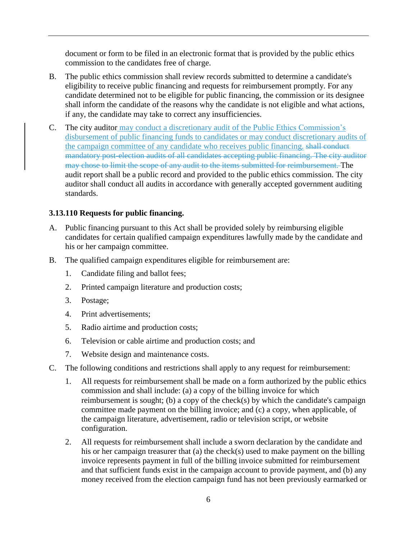document or form to be filed in an electronic format that is provided by the public ethics commission to the candidates free of charge.

- B. The public ethics commission shall review records submitted to determine a candidate's eligibility to receive public financing and requests for reimbursement promptly. For any candidate determined not to be eligible for public financing, the commission or its designee shall inform the candidate of the reasons why the candidate is not eligible and what actions, if any, the candidate may take to correct any insufficiencies.
- C. The city auditor may conduct a discretionary audit of the Public Ethics Commission's disbursement of public financing funds to candidates or may conduct discretionary audits of the campaign committee of any candidate who receives public financing. shall conduct mandatory post-election audits of all candidates accepting public financing. The city auditor may chose to limit the scope of any audit to the items submitted for reimbursement. The audit report shall be a public record and provided to the public ethics commission. The city auditor shall conduct all audits in accordance with generally accepted government auditing standards.

## **3.13.110 Requests for public financing.**

- A. Public financing pursuant to this Act shall be provided solely by reimbursing eligible candidates for certain qualified campaign expenditures lawfully made by the candidate and his or her campaign committee.
- B. The qualified campaign expenditures eligible for reimbursement are:
	- 1. Candidate filing and ballot fees;
	- 2. Printed campaign literature and production costs;
	- 3. Postage;
	- 4. Print advertisements;
	- 5. Radio airtime and production costs;
	- 6. Television or cable airtime and production costs; and
	- 7. Website design and maintenance costs.
- C. The following conditions and restrictions shall apply to any request for reimbursement:
	- 1. All requests for reimbursement shall be made on a form authorized by the public ethics commission and shall include: (a) a copy of the billing invoice for which reimbursement is sought; (b) a copy of the check(s) by which the candidate's campaign committee made payment on the billing invoice; and (c) a copy, when applicable, of the campaign literature, advertisement, radio or television script, or website configuration.
	- 2. All requests for reimbursement shall include a sworn declaration by the candidate and his or her campaign treasurer that (a) the check(s) used to make payment on the billing invoice represents payment in full of the billing invoice submitted for reimbursement and that sufficient funds exist in the campaign account to provide payment, and (b) any money received from the election campaign fund has not been previously earmarked or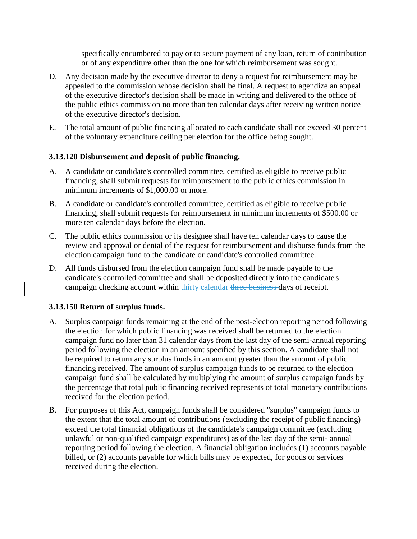specifically encumbered to pay or to secure payment of any loan, return of contribution or of any expenditure other than the one for which reimbursement was sought.

- D. Any decision made by the executive director to deny a request for reimbursement may be appealed to the commission whose decision shall be final. A request to agendize an appeal of the executive director's decision shall be made in writing and delivered to the office of the public ethics commission no more than ten calendar days after receiving written notice of the executive director's decision.
- E. The total amount of public financing allocated to each candidate shall not exceed 30 percent of the voluntary expenditure ceiling per election for the office being sought.

## **3.13.120 Disbursement and deposit of public financing.**

- A. A candidate or candidate's controlled committee, certified as eligible to receive public financing, shall submit requests for reimbursement to the public ethics commission in minimum increments of \$1,000.00 or more.
- B. A candidate or candidate's controlled committee, certified as eligible to receive public financing, shall submit requests for reimbursement in minimum increments of \$500.00 or more ten calendar days before the election.
- C. The public ethics commission or its designee shall have ten calendar days to cause the review and approval or denial of the request for reimbursement and disburse funds from the election campaign fund to the candidate or candidate's controlled committee.
- D. All funds disbursed from the election campaign fund shall be made payable to the candidate's controlled committee and shall be deposited directly into the candidate's campaign checking account within thirty calendar three business days of receipt.

## **3.13.150 Return of surplus funds.**

- A. Surplus campaign funds remaining at the end of the post-election reporting period following the election for which public financing was received shall be returned to the election campaign fund no later than 31 calendar days from the last day of the semi-annual reporting period following the election in an amount specified by this section. A candidate shall not be required to return any surplus funds in an amount greater than the amount of public financing received. The amount of surplus campaign funds to be returned to the election campaign fund shall be calculated by multiplying the amount of surplus campaign funds by the percentage that total public financing received represents of total monetary contributions received for the election period.
- B. For purposes of this Act, campaign funds shall be considered "surplus" campaign funds to the extent that the total amount of contributions (excluding the receipt of public financing) exceed the total financial obligations of the candidate's campaign committee (excluding unlawful or non-qualified campaign expenditures) as of the last day of the semi- annual reporting period following the election. A financial obligation includes (1) accounts payable billed, or (2) accounts payable for which bills may be expected, for goods or services received during the election.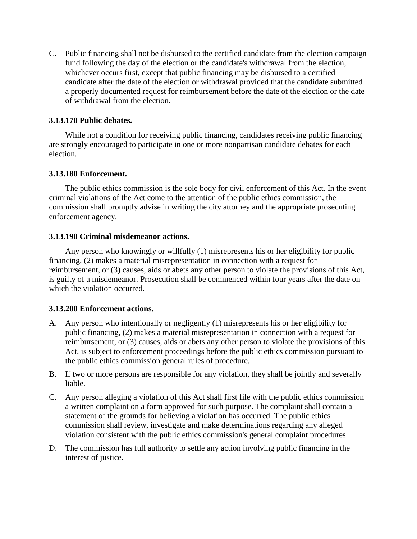C. Public financing shall not be disbursed to the certified candidate from the election campaign fund following the day of the election or the candidate's withdrawal from the election, whichever occurs first, except that public financing may be disbursed to a certified candidate after the date of the election or withdrawal provided that the candidate submitted a properly documented request for reimbursement before the date of the election or the date of withdrawal from the election.

## **3.13.170 Public debates.**

While not a condition for receiving public financing, candidates receiving public financing are strongly encouraged to participate in one or more nonpartisan candidate debates for each election.

#### **3.13.180 Enforcement.**

The public ethics commission is the sole body for civil enforcement of this Act. In the event criminal violations of the Act come to the attention of the public ethics commission, the commission shall promptly advise in writing the city attorney and the appropriate prosecuting enforcement agency.

#### **3.13.190 Criminal misdemeanor actions.**

Any person who knowingly or willfully (1) misrepresents his or her eligibility for public financing, (2) makes a material misrepresentation in connection with a request for reimbursement, or (3) causes, aids or abets any other person to violate the provisions of this Act, is guilty of a misdemeanor. Prosecution shall be commenced within four years after the date on which the violation occurred.

## **3.13.200 Enforcement actions.**

- A. Any person who intentionally or negligently (1) misrepresents his or her eligibility for public financing, (2) makes a material misrepresentation in connection with a request for reimbursement, or (3) causes, aids or abets any other person to violate the provisions of this Act, is subject to enforcement proceedings before the public ethics commission pursuant to the public ethics commission general rules of procedure.
- B. If two or more persons are responsible for any violation, they shall be jointly and severally liable.
- C. Any person alleging a violation of this Act shall first file with the public ethics commission a written complaint on a form approved for such purpose. The complaint shall contain a statement of the grounds for believing a violation has occurred. The public ethics commission shall review, investigate and make determinations regarding any alleged violation consistent with the public ethics commission's general complaint procedures.
- D. The commission has full authority to settle any action involving public financing in the interest of justice.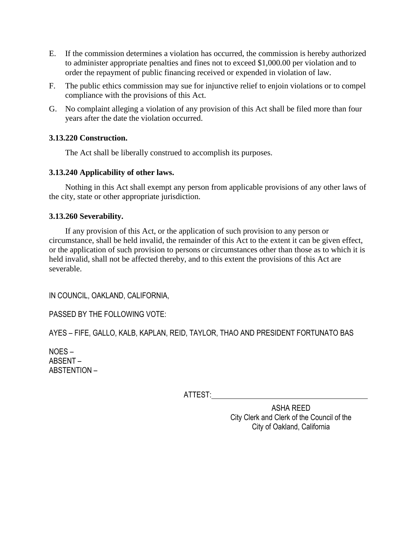- E. If the commission determines a violation has occurred, the commission is hereby authorized to administer appropriate penalties and fines not to exceed \$1,000.00 per violation and to order the repayment of public financing received or expended in violation of law.
- F. The public ethics commission may sue for injunctive relief to enjoin violations or to compel compliance with the provisions of this Act.
- G. No complaint alleging a violation of any provision of this Act shall be filed more than four years after the date the violation occurred.

## **3.13.220 Construction.**

The Act shall be liberally construed to accomplish its purposes.

## **3.13.240 Applicability of other laws.**

Nothing in this Act shall exempt any person from applicable provisions of any other laws of the city, state or other appropriate jurisdiction.

## **3.13.260 Severability.**

If any provision of this Act, or the application of such provision to any person or circumstance, shall be held invalid, the remainder of this Act to the extent it can be given effect, or the application of such provision to persons or circumstances other than those as to which it is held invalid, shall not be affected thereby, and to this extent the provisions of this Act are severable.

IN COUNCIL, OAKLAND, CALIFORNIA,

PASSED BY THE FOLLOWING VOTE:

AYES – FIFE, GALLO, KALB, KAPLAN, REID, TAYLOR, THAO AND PRESIDENT FORTUNATO BAS

NOES – ABSENT – ABSTENTION –

ATTEST:

ASHA REED City Clerk and Clerk of the Council of the City of Oakland, California